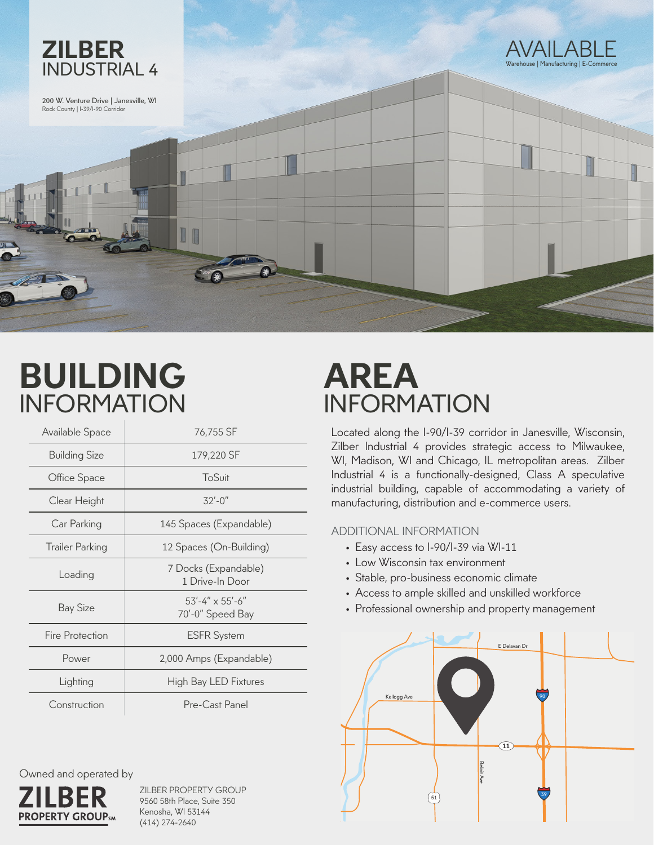

### **BUILDING** INFORMATION

| Available Space        | 76,755 SF                                        |
|------------------------|--------------------------------------------------|
| <b>Building Size</b>   | 179,220 SF                                       |
| Office Space           | ToSuit                                           |
| Clear Height           | $32' - 0''$                                      |
| Car Parking            | 145 Spaces (Expandable)                          |
| <b>Trailer Parking</b> | 12 Spaces (On-Building)                          |
| Loading                | 7 Docks (Expandable)<br>1 Drive-In Door          |
| <b>Bay Size</b>        | $53' - 4'' \times 55' - 6''$<br>70'-0" Speed Bay |
| Fire Protection        | <b>ESFR System</b>                               |
| Power                  | 2,000 Amps (Expandable)                          |
| Lighting               | <b>High Bay LED Fixtures</b>                     |
| Construction           | Pre-Cast Panel                                   |

#### Owned and operated by



ZILBER PROPERTY GROUP 9560 58th Place, Suite 350 Kenosha, WI 53144 (414) 274-2640

## **AREA** INFORMATION

Located along the I-90/I-39 corridor in Janesville, Wisconsin, Zilber Industrial 4 provides strategic access to Milwaukee, WI, Madison, WI and Chicago, IL metropolitan areas. Zilber Industrial 4 is a functionally-designed, Class A speculative industrial building, capable of accommodating a variety of manufacturing, distribution and e-commerce users.

#### ADDITIONAL INFORMATION

- Easy access to I-90/I-39 via WI-11
- Low Wisconsin tax environment
- Stable, pro-business economic climate
- Access to ample skilled and unskilled workforce
- Professional ownership and property management